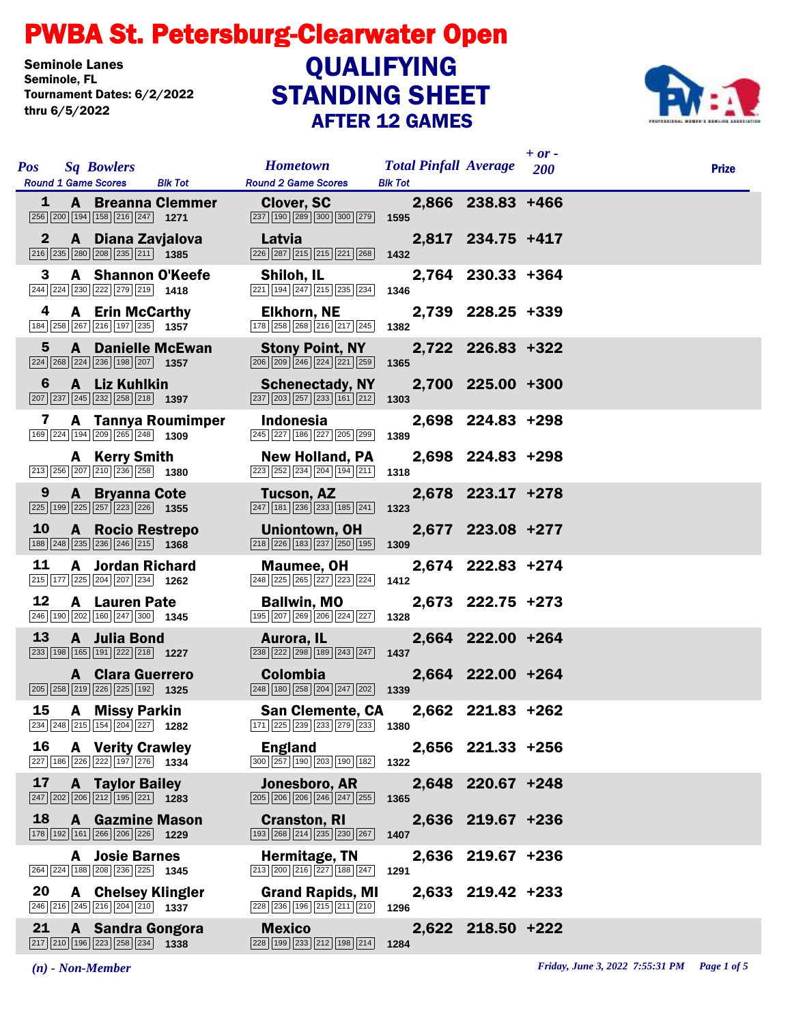## STANDING SHEET PWBA St. Petersburg-Clearwater Open AFTER 12 GAMES Seminole Lanes<br>Seminole, FL Tournament Dates: 6/2/2022 thru 6/5/2022 **QUALIFYING**



| <b>Pos</b>   | <b>Sq Bowlers</b>                                                                                                           |                                            | <b>Hometown</b>                                                                                               | <b>Total Pinfall Average</b> 200 |                   | $+$ or $-$ | <b>Prize</b> |
|--------------|-----------------------------------------------------------------------------------------------------------------------------|--------------------------------------------|---------------------------------------------------------------------------------------------------------------|----------------------------------|-------------------|------------|--------------|
| 1            | <b>Round 1 Game Scores</b>                                                                                                  | <b>Blk Tot</b><br><b>A</b> Breanna Clemmer | <b>Round 2 Game Scores</b><br><b>Clover, SC</b>                                                               | <b>Blk Tot</b>                   | 2,866 238.83 +466 |            |              |
|              | 256 200 194 158 216 247 1271                                                                                                |                                            | 237 190 289 300 300 279                                                                                       | 1595                             |                   |            |              |
| $\mathbf{2}$ | A Diana Zavjalova<br>$\boxed{216}\boxed{235}\boxed{280}\boxed{208}\boxed{235}\boxed{211}$ 1385                              |                                            | Latvia<br>226 287 215 215 221 268                                                                             | 1432                             | 2,817 234.75 +417 |            |              |
| 3            | A Shannon O'Keefe<br>244 224 230 222 279 219 1418                                                                           |                                            | Shiloh, IL<br>$\boxed{221}$ 194 $\boxed{247}$ $\boxed{215}$ $\boxed{235}$ $\boxed{234}$                       | 1346                             | 2,764 230.33 +364 |            |              |
| 4            | <b>A</b> Erin McCarthy<br>184 258 267 216 197 235 1357                                                                      |                                            | <b>Elkhorn, NE</b><br>178 258 268 216 217 245                                                                 | 1382                             | 2,739 228.25 +339 |            |              |
| 5            | <b>A</b> Danielle McEwan<br>$\boxed{224}$ $\boxed{268}$ $\boxed{224}$ $\boxed{236}$ $\boxed{198}$ $\boxed{207}$ <b>1357</b> |                                            | <b>Stony Point, NY</b><br>$\boxed{206}$ $\boxed{209}$ $\boxed{246}$ $\boxed{224}$ $\boxed{221}$ $\boxed{259}$ | 1365                             | 2,722 226.83 +322 |            |              |
| 6            | A Liz Kuhlkin<br>$\boxed{207}$ $\boxed{237}$ $\boxed{245}$ $\boxed{232}$ $\boxed{258}$ $\boxed{218}$ <b>1397</b>            |                                            | <b>Schenectady, NY</b><br>$\boxed{237}$ $\boxed{203}$ $\boxed{257}$ $\boxed{233}$ $\boxed{161}$ $\boxed{212}$ | 1303                             | 2,700 225.00 +300 |            |              |
| 7            | 169 224 194 209 265 248 1309                                                                                                | A Tannya Roumimper                         | <b>Indonesia</b><br>245 227 186 227 205 299                                                                   | 1389                             | 2,698 224.83 +298 |            |              |
|              | <b>A</b> Kerry Smith<br>213 256 207 210 236 258 1380                                                                        |                                            | <b>New Holland, PA</b><br>223 252 234 204 194 211                                                             | 1318                             | 2,698 224.83 +298 |            |              |
|              | $9^{\circ}$<br><b>A</b> Bryanna Cote<br>225 199 225 257 223 226 1355                                                        |                                            | Tucson, AZ<br>$\boxed{247}$ 181 236 233 185 241                                                               | 1323                             | 2,678 223.17 +278 |            |              |
| <b>10</b>    | A Rocio Restrepo<br>188 248 235 236 246 215 1368                                                                            |                                            | Uniontown, OH<br>$\boxed{218}$ $\boxed{226}$ 183 $\boxed{237}$ $\boxed{250}$ 195 1309                         |                                  | 2,677 223.08 +277 |            |              |
| 11           | <b>A</b> Jordan Richard<br>215 177 225 204 207 234 1262                                                                     |                                            | Maumee, OH<br>248 225 265 227 223 224                                                                         | 1412                             | 2,674 222.83 +274 |            |              |
| 12           | <b>A</b> Lauren Pate<br>246 190 202 160 247 300 1345                                                                        |                                            | <b>Ballwin, MO</b><br>195 207 269 206 224 227 1328                                                            |                                  | 2,673 222.75 +273 |            |              |
| <b>13</b>    | A Julia Bond<br>233 198 165 191 222 218 1227                                                                                |                                            | Aurora, IL<br>$\overline{238}$ $\overline{222}$ $\overline{298}$ 189 $\overline{243}$ $\overline{247}$ 1437   |                                  | 2,664 222.00 +264 |            |              |
|              | <b>A</b> Clara Guerrero<br>205 258 219 226 225 192 1325                                                                     |                                            | <b>Colombia</b><br>248 180 258 204 247 202                                                                    | 1339                             | 2,664 222.00 +264 |            |              |
| 15           | A Missy Parkin<br>234 248 215 154 204 227 1282                                                                              |                                            | <b>San Clemente, CA</b><br>171 225 239 233 279 233 1380                                                       |                                  | 2,662 221.83 +262 |            |              |
| 16           | <b>A</b> Verity Crawley<br>227 186 226 222 197 276 1334                                                                     |                                            | <b>England</b><br>300 257 190 203 190 182                                                                     | 1322                             | 2,656 221.33 +256 |            |              |
| 17           | <b>A</b> Taylor Bailey<br>$\boxed{247}$ $\boxed{202}$ $\boxed{206}$ $\boxed{212}$ $\boxed{195}$ $\boxed{221}$ <b>1283</b>   |                                            | Jonesboro, AR<br>205 206 206 246 247 255                                                                      | 1365                             | 2,648 220.67 +248 |            |              |
| 18           | <b>A</b> Gazmine Mason<br>178 192 161 266 206 226 1229                                                                      |                                            | <b>Cranston, RI</b><br>[193   268   214   235   230   267                                                     | 1407                             | 2,636 219.67 +236 |            |              |
|              | <b>A</b> Josie Barnes<br>264 224 188 208 236 225 1345                                                                       |                                            | Hermitage, TN<br>213 200 216 227 188 247                                                                      | 1291                             | 2,636 219.67 +236 |            |              |
| 20           | <b>A</b> Chelsey Klingler<br>246 216 245 216 204 210 1337                                                                   |                                            | <b>Grand Rapids, MI</b><br>228 236 196 215 211 210                                                            | 1296                             | 2,633 219.42 +233 |            |              |
| 21           | A Sandra Gongora<br>217 210 196 223 258 234 1338                                                                            |                                            | <b>Mexico</b><br>228 199 233 212 198 214                                                                      | 1284                             | 2,622 218.50 +222 |            |              |

*(n) - Non-Member Friday, June 3, 2022 7:55:31 PM Page 1 of 5*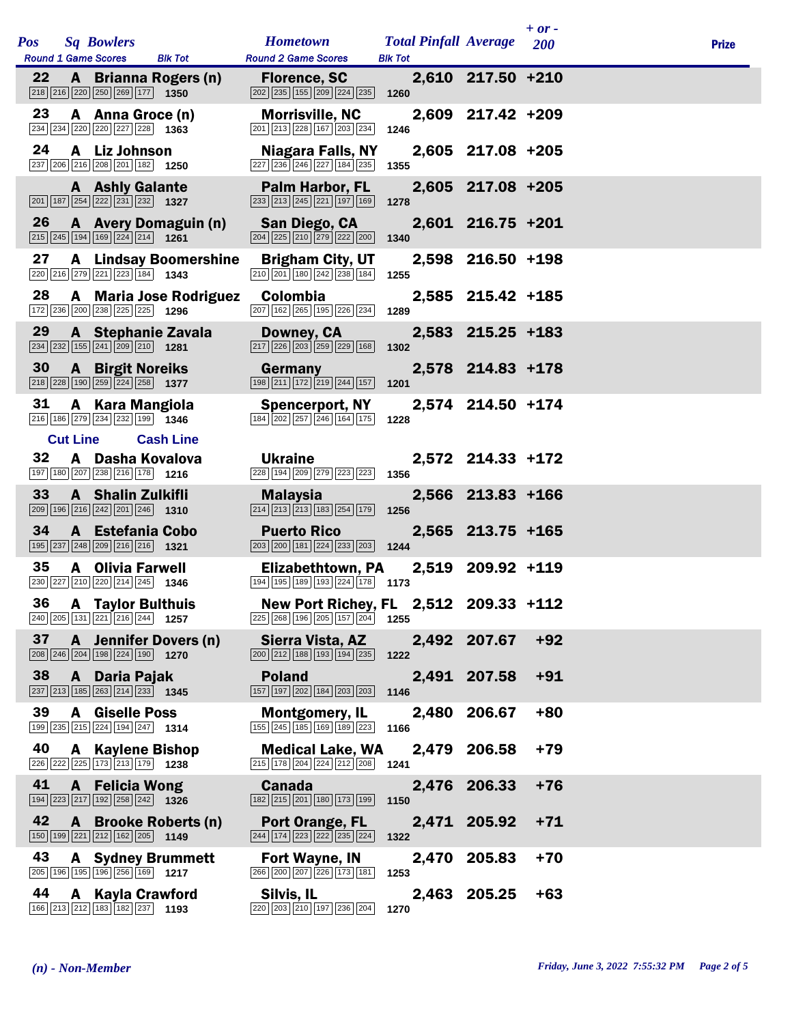|     |                 |                                                                                                                            |                              |                                                                                                                                   |                                                |                     | $+ or -$ |              |
|-----|-----------------|----------------------------------------------------------------------------------------------------------------------------|------------------------------|-----------------------------------------------------------------------------------------------------------------------------------|------------------------------------------------|---------------------|----------|--------------|
| Pos |                 | <b>Sq Bowlers</b><br><b>Round 1 Game Scores</b>                                                                            | <b>Blk Tot</b>               | <b>Hometown</b><br><b>Round 2 Game Scores</b>                                                                                     | <b>Total Pinfall Average</b><br><b>Blk Tot</b> |                     | 200      | <b>Prize</b> |
| 22  |                 | $\boxed{218}$ $\boxed{216}$ $\boxed{220}$ $\boxed{250}$ $\boxed{269}$ $\boxed{177}$ <b>1350</b>                            | A Brianna Rogers (n)         | <b>Florence, SC</b><br>202 235 155 209 224 235                                                                                    | 1260                                           | 2,610 217.50 +210   |          |              |
| 23  |                 | A Anna Groce (n)<br>234 234 220 220 227 228 1363                                                                           |                              | <b>Morrisville, NC</b><br>201 213 228 167 203 234                                                                                 | 1246                                           | 2,609 217.42 +209   |          |              |
| 24  |                 | A Liz Johnson<br>237 206 216 208 201 182 1250                                                                              |                              | Niagara Falls, NY<br>227 236 246 227 184 235                                                                                      | 1355                                           | 2,605 217.08 +205   |          |              |
|     |                 | <b>A</b> Ashly Galante<br>201 187 254 222 231 232 1327                                                                     |                              | <b>Palm Harbor, FL</b><br>233 213 245 221 197 169                                                                                 | 1278                                           | 2,605 217.08 +205   |          |              |
| 26  |                 | 215 245 194 169 224 214 1261                                                                                               | A Avery Domaguin (n)         | San Diego, CA<br>204 225 210 279 222 200                                                                                          | 1340                                           | $2,601$ 216.75 +201 |          |              |
| 27  |                 | 220 216 279 221 223 184 1343                                                                                               | <b>A</b> Lindsay Boomershine | <b>Brigham City, UT</b><br>210 201 180 242 238 184                                                                                | 1255                                           | 2,598 216.50 +198   |          |              |
| 28  |                 | 172 236 200 238 225 225 1296                                                                                               | A Maria Jose Rodriguez       | <b>Colombia</b><br>207 162 265 195 226 234                                                                                        | 1289                                           | 2,585 215.42 +185   |          |              |
| 29  |                 | $\boxed{234}$ $\boxed{232}$ $\boxed{155}$ $\boxed{241}$ $\boxed{209}$ $\boxed{210}$ <b>1281</b>                            | A Stephanie Zavala           | Downey, CA<br>217 226 203 259 229 168                                                                                             | 1302                                           | 2,583 215.25 +183   |          |              |
| 30  |                 | <b>A</b> Birgit Noreiks<br>$\boxed{218}$ $\boxed{228}$ $\boxed{190}$ $\boxed{259}$ $\boxed{224}$ $\boxed{258}$ <b>1377</b> |                              | Germany<br>198 211 172 219 244 157                                                                                                | 1201                                           | 2,578 214.83 +178   |          |              |
| 31  |                 | A Kara Mangiola<br>216 186 279 234 232 199 1346                                                                            |                              | <b>Spencerport, NY</b><br>$\boxed{184} \boxed{202} \boxed{257} \boxed{246} \boxed{164} \boxed{175}$                               | 1228                                           | 2,574 214.50 +174   |          |              |
|     | <b>Cut Line</b> |                                                                                                                            | <b>Cash Line</b>             |                                                                                                                                   |                                                |                     |          |              |
| 32  |                 | A Dasha Kovalova<br>197 180 207 238 216 178 1216                                                                           |                              | <b>Ukraine</b><br>228 194 209 279 223 223                                                                                         | 1356                                           | 2,572 214.33 +172   |          |              |
| 33  |                 | A Shalin Zulkifli<br>$\boxed{209}$ 196 216 242 201 246 1310                                                                |                              | <b>Malaysia</b><br>$\boxed{214}$ $\boxed{213}$ $\boxed{213}$ $\boxed{183}$ $\boxed{254}$ $\boxed{179}$                            | 1256                                           | 2,566 213.83 +166   |          |              |
| 34  |                 | A Estefania Cobo<br>195 237 248 209 216 216 1321                                                                           |                              | <b>Puerto Rico</b><br>$\boxed{203}$ $\boxed{200}$ $\boxed{181}$ $\boxed{224}$ $\boxed{233}$ $\boxed{203}$ 1244                    |                                                | 2,565 213.75 +165   |          |              |
| 35  |                 | <b>A</b> Olivia Farwell<br>$\boxed{230}$ $\boxed{227}$ $\boxed{210}$ $\boxed{220}$ $\boxed{214}$ $\boxed{245}$ <b>1346</b> |                              | <b>Elizabethtown, PA</b><br>194 195 189 193 224 178 173                                                                           |                                                | 2,519 209.92 +119   |          |              |
|     |                 | 36 A Taylor Bulthuis<br>$\boxed{240}$ $\boxed{205}$ $\boxed{131}$ $\boxed{221}$ $\boxed{216}$ $\boxed{244}$ <b>1257</b>    |                              | New Port Richey, FL 2,512 209.33 +112<br>$\boxed{225}$ $\boxed{268}$ $\boxed{196}$ $\boxed{205}$ $\boxed{157}$ $\boxed{204}$ 1255 |                                                |                     |          |              |
| 37  |                 | $\boxed{208}$ $\boxed{246}$ $\boxed{204}$ $\boxed{198}$ $\boxed{224}$ $\boxed{190}$ <b>1270</b>                            | A Jennifer Dovers (n)        | Sierra Vista, AZ<br>200 212 188 193 194 235                                                                                       | 1222                                           | 2,492 207.67        | $+92$    |              |
| 38  |                 | A Daria Pajak<br>$\boxed{237}$ $\boxed{213}$ $\boxed{185}$ $\boxed{263}$ $\boxed{214}$ $\boxed{233}$ <b>1345</b>           |                              | <b>Poland</b><br>157 197 202 184 203 203                                                                                          | 1146                                           | 2,491 207.58        | $+91$    |              |
| 39  | A               | <b>Giselle Poss</b><br>199 235 215 224 194 247 1314                                                                        |                              | <b>Montgomery, IL</b><br>155 245 185 169 189 223                                                                                  | 2,480<br>1166                                  | 206.67              | $+80$    |              |
| 40  |                 | <b>A</b> Kaylene Bishop<br>226 222 225 173 213 179 1238                                                                    |                              | <b>Medical Lake, WA</b><br>$\boxed{215}$ $\boxed{178}$ $\boxed{204}$ $\boxed{224}$ $\boxed{212}$ $\boxed{208}$ <b>1241</b>        |                                                | 2,479 206.58        | $+79$    |              |
| 41  |                 | <b>A</b> Felicia Wong<br>194 223 217 192 258 242 1326                                                                      |                              | <b>Canada</b><br>182 215 201 180 173 199                                                                                          | 1150                                           | 2,476 206.33        | $+76$    |              |
| 42  |                 | $\boxed{150}$ $\boxed{199}$ $\boxed{221}$ $\boxed{212}$ $\boxed{162}$ $\boxed{205}$ <b>1149</b>                            | A Brooke Roberts (n)         | Port Orange, FL<br>244 174 223 222 235 224                                                                                        | 1322                                           | 2,471 205.92        | $+71$    |              |
| 43  |                 | 205 196 195 196 256 169 1217                                                                                               | <b>A</b> Sydney Brummett     | <b>Fort Wayne, IN</b><br>266 200 207 226 173 181                                                                                  | 2,470<br>1253                                  | 205.83              | $+70$    |              |
| 44  |                 | A Kayla Crawford<br>166 213 212 183 182 237 193                                                                            |                              | Silvis, IL<br>220 203 210 197 236 204                                                                                             | 1270                                           | 2,463 205.25        | $+63$    |              |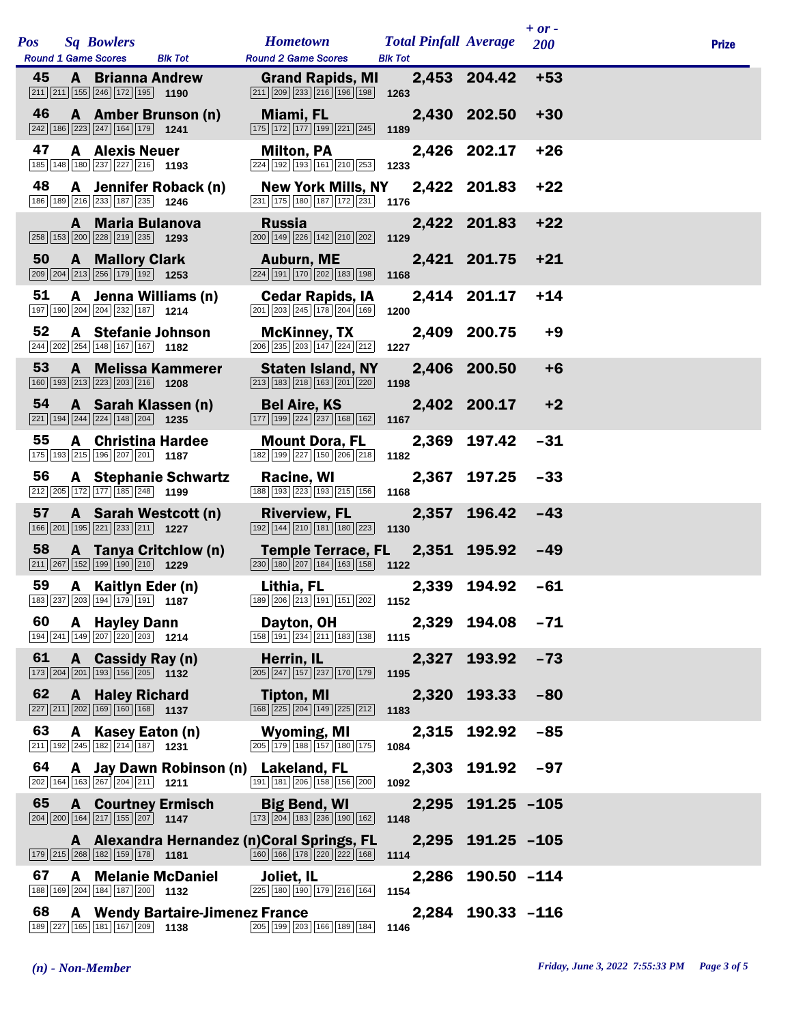| Pos |    |   | <b>Sq Bowlers</b><br><b>Round 1 Game Scores</b>                                                                              | <b>Blk Tot</b>                                                                                  | <b>Hometown</b><br><b>Round 2 Game Scores</b>                                                                           | <b>Total Pinfall Average</b><br><b>Blk Tot</b> |                   | $+ or -$<br>200 | <b>Prize</b> |
|-----|----|---|------------------------------------------------------------------------------------------------------------------------------|-------------------------------------------------------------------------------------------------|-------------------------------------------------------------------------------------------------------------------------|------------------------------------------------|-------------------|-----------------|--------------|
| 45  |    |   | <b>A</b> Brianna Andrew<br>$\boxed{211}$ $\boxed{211}$ $\boxed{155}$ $\boxed{246}$ $\boxed{172}$ $\boxed{195}$ <b>1190</b>   |                                                                                                 | <b>Grand Rapids, MI</b><br>211 209 233 216 196 198                                                                      | 1263                                           | 2,453 204.42      | $+53$           |              |
| 46  |    |   | A Amber Brunson (n)<br>$\boxed{242}$ 186 223 247 164 179 1241                                                                |                                                                                                 | Miami, FL<br>175 172 177 199 221 245                                                                                    | 1189                                           | 2,430 202.50      | $+30$           |              |
| 47  |    |   | <b>A</b> Alexis Neuer<br>185 148 180 237 227 216 1193                                                                        |                                                                                                 | <b>Milton, PA</b><br>224 192 193 161 210 253                                                                            | 1233                                           | 2,426 202.17      | $+26$           |              |
| 48  |    |   | 186 189 216 233 187 235 1246                                                                                                 | A Jennifer Roback (n)                                                                           | <b>New York Mills, NY</b><br>231 175 180 187 172 231                                                                    | 1176                                           | 2,422 201.83      | $+22$           |              |
|     |    |   | A Maria Bulanova<br>258 153 200 228 219 235 1293                                                                             |                                                                                                 | <b>Russia</b><br>200 149 226 142 210 202                                                                                | 1129                                           | 2,422 201.83      | $+22$           |              |
| 50  |    |   | <b>A</b> Mallory Clark<br>209 204 213 256 179 192 1253                                                                       |                                                                                                 | Auburn, ME<br>$\boxed{224}$ 191 170 202 183 198                                                                         | 1168                                           | 2,421 201.75      | $+21$           |              |
| 51  |    |   | A Jenna Williams (n)<br>197 190 204 204 232 187 1214                                                                         |                                                                                                 | <b>Cedar Rapids, IA</b><br>201 203 245 178 204 169                                                                      | 1200                                           | 2,414 201.17      | $+14$           |              |
| 52  |    |   | A Stefanie Johnson<br>244 202 254 148 167 167 182                                                                            |                                                                                                 | <b>McKinney, TX</b><br>206 235 203 147 224 212                                                                          | 1227                                           | 2,409 200.75      | $+9$            |              |
| 53  |    |   | <b>A</b> Melissa Kammerer<br>160 193 213 223 203 216 1208                                                                    |                                                                                                 | <b>Staten Island, NY</b><br>$\boxed{213}$ $\boxed{183}$ $\boxed{218}$ $\boxed{163}$ $\boxed{201}$ $\boxed{220}$         | 1198                                           | 2,406 200.50      | $+6$            |              |
| 54  |    |   | A Sarah Klassen (n)<br>$\boxed{221}$ 194 244 224 148 204 1235                                                                |                                                                                                 | <b>Bel Aire, KS</b><br>177 199 224 237 168 162                                                                          | 1167                                           | 2,402 200.17      | $+2$            |              |
| 55  |    |   | <b>A</b> Christina Hardee<br>175 193 215 196 207 201 187                                                                     |                                                                                                 | <b>Mount Dora, FL</b><br>182 199 227 150 206 218                                                                        | 2,369<br>1182                                  | 197.42            | $-31$           |              |
|     | 56 |   | 212 205 172 177 185 248 1199                                                                                                 | <b>A</b> Stephanie Schwartz                                                                     | Racine, WI<br>188 193 223 193 215 156                                                                                   | 2,367<br>1168                                  | 197.25            | $-33$           |              |
| 57  |    |   | A Sarah Westcott (n)<br>$\boxed{166}$ $\boxed{201}$ $\boxed{195}$ $\boxed{221}$ $\boxed{233}$ $\boxed{211}$ <b>1227</b>      |                                                                                                 | <b>Riverview, FL</b><br>$\boxed{192}$ $\boxed{144}$ $\boxed{210}$ $\boxed{181}$ $\boxed{180}$ $\boxed{223}$ <b>1130</b> | 2,357                                          | 196.42            | $-43$           |              |
| 58  |    |   | $\boxed{211}$ $\boxed{267}$ $\boxed{152}$ $\boxed{199}$ $\boxed{190}$ $\boxed{210}$ <b>1229</b>                              | A Tanya Critchlow (n)                                                                           | <b>Temple Terrace, FL</b><br>$\boxed{230}$ 180 $\boxed{207}$ 184 163 158 1122                                           |                                                | 2,351 195.92      | $-49$           |              |
| 59  |    |   | A Kaitlyn Eder (n)                                                                                                           | $\boxed{183}$ $\boxed{237}$ $\boxed{203}$ $\boxed{194}$ $\boxed{179}$ $\boxed{191}$ <b>1187</b> | Lithia, FL<br>189 206 213 191 151 202 1152                                                                              |                                                | 2,339 194.92      | $-61$           |              |
| 60  |    |   | <b>A</b> Hayley Dann<br>$\boxed{194}\boxed{241}\boxed{149}\boxed{207}\boxed{220}\boxed{203}$ 1214                            |                                                                                                 | Dayton, OH<br>158 191 234 211 183 138                                                                                   | 1115                                           | 2,329 194.08      | $-71$           |              |
| 61  |    | A | Cassidy Ray (n)<br>173 204 201 193 156 205 1132                                                                              |                                                                                                 | Herrin, IL<br>205 247 157 237 170 179                                                                                   | 2,327<br>1195                                  | 193.92            | $-73$           |              |
| 62  |    | A | <b>Haley Richard</b><br>227 211 202 169 160 168 1137                                                                         |                                                                                                 | Tipton, MI<br>168 225 204 149 225 212                                                                                   | 2,320<br>1183                                  | 193.33            | $-80$           |              |
| 63  |    |   | A Kasey Eaton (n)<br>$\boxed{211}$ 192 245 182 214 187 1231                                                                  |                                                                                                 | <b>Wyoming, MI</b><br>$\boxed{205}$ $\boxed{179}$ $\boxed{188}$ $\boxed{157}$ $\boxed{180}$ $\boxed{175}$               | 2,315<br>1084                                  | 192.92            | $-85$           |              |
| 64  |    |   | $\boxed{202}$ 164 163 267 204 211 1211                                                                                       |                                                                                                 | A Jay Dawn Robinson (n) Lakeland, FL<br>191 181 206 158 156 200                                                         | 1092                                           | 2,303 191.92      | $-97$           |              |
| 65  |    |   | <b>A</b> Courtney Ermisch<br>$\boxed{204}$ $\boxed{200}$ $\boxed{164}$ $\boxed{217}$ $\boxed{155}$ $\boxed{207}$ <b>1147</b> |                                                                                                 | <b>Big Bend, WI</b><br>173 204 183 236 190 162                                                                          | 2,295<br>1148                                  | $191.25 - 105$    |                 |              |
|     |    |   | 179 215 268 182 159 178 1181                                                                                                 |                                                                                                 | A Alexandra Hernandez (n) Coral Springs, FL<br>160 166 178 220 222 168                                                  | 1114                                           | 2,295 191.25 -105 |                 |              |
| 67  |    | A | <b>Melanie McDaniel</b><br>188 169 204 184 187 200 1132                                                                      |                                                                                                 | Joliet, IL<br>225 180 190 179 216 164                                                                                   | 2,286<br>1154                                  | $190.50 - 114$    |                 |              |
| 68  |    |   | $\boxed{189}\boxed{227}\boxed{165}\boxed{181}\boxed{167}\boxed{209}$ 1138                                                    | <b>A</b> Wendy Bartaire-Jimenez France                                                          | 205 199 203 166 189 184                                                                                                 | 1146                                           | 2,284 190.33 -116 |                 |              |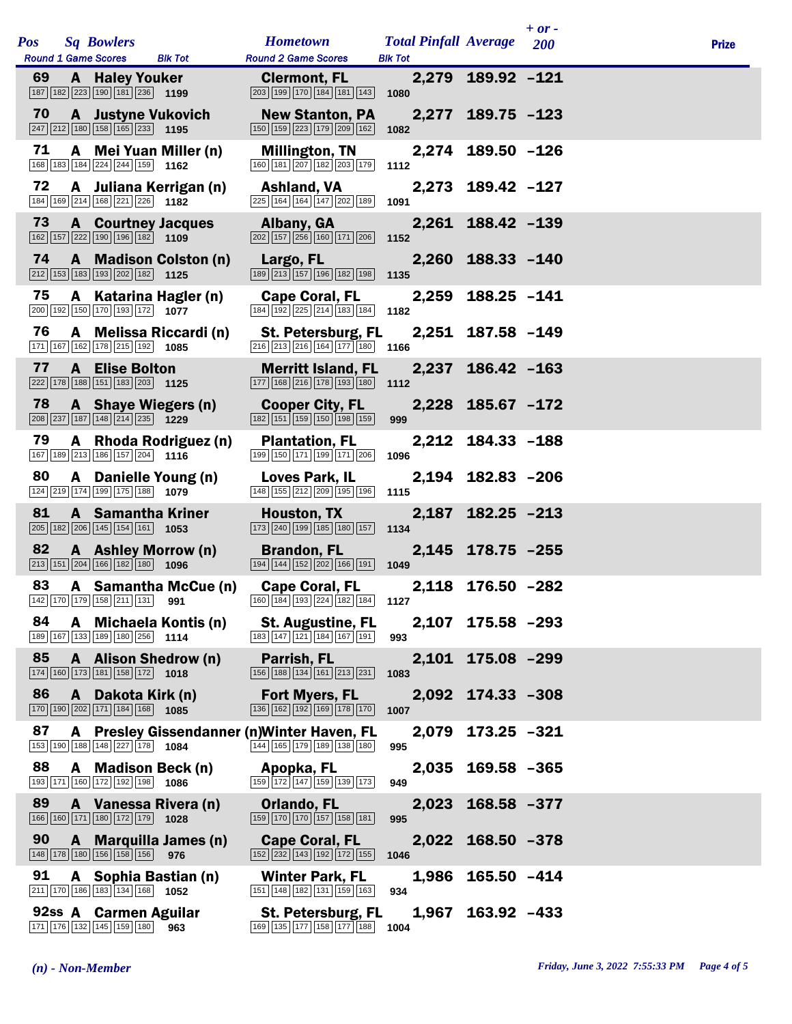|     |                                                                                                                              |                      |                                                                                                                              |                              |                   | $+ or -$   |              |
|-----|------------------------------------------------------------------------------------------------------------------------------|----------------------|------------------------------------------------------------------------------------------------------------------------------|------------------------------|-------------------|------------|--------------|
| Pos | <b>Sq Bowlers</b>                                                                                                            |                      | <b>Hometown</b>                                                                                                              | <b>Total Pinfall Average</b> |                   | <b>200</b> | <b>Prize</b> |
| 69  | <b>Round 1 Game Scores</b><br><b>A</b> Haley Youker<br>187 182 223 190 181 236 1199                                          | <b>Blk Tot</b>       | <b>Round 2 Game Scores</b><br><b>Clermont, FL</b><br>203 199 170 184 181 143                                                 | <b>Blk Tot</b><br>1080       | 2,279 189.92 -121 |            |              |
| 70  | <b>A</b> Justyne Vukovich<br>$\boxed{247}$ $\boxed{212}$ $\boxed{180}$ $\boxed{158}$ $\boxed{165}$ $\boxed{233}$ <b>1195</b> |                      | <b>New Stanton, PA</b><br>150 159 223 179 209 162                                                                            | 1082                         | 2,277 189.75 -123 |            |              |
| 71  | A Mei Yuan Miller (n)<br>168 183 184 224 244 159 1162                                                                        |                      | Millington, TN<br>160 181 207 182 203 179                                                                                    | 1112                         | 2,274 189.50 -126 |            |              |
| 72  | A Juliana Kerrigan (n)<br>184 169 214 168 221 226 1182                                                                       |                      | Ashland, VA<br>225 164 164 147 202 189                                                                                       | 1091                         | 2,273 189.42 -127 |            |              |
| 73  | <b>A</b> Courtney Jacques<br>$\boxed{162}$ $\boxed{157}$ $\boxed{222}$ $\boxed{190}$ $\boxed{196}$ $\boxed{182}$ <b>1109</b> |                      | Albany, GA<br>202 157 256 160 171 206                                                                                        | 1152                         | 2,261 188.42 -139 |            |              |
| 74  | A Madison Colston (n)<br>$\boxed{212}$ 153 183 193 202 182 1125                                                              |                      | Largo, FL<br>189 213 157 196 182 198                                                                                         | 1135                         | 2,260 188.33 -140 |            |              |
| 75  | A Katarina Hagler (n)<br>200 192 150 170 193 172 1077                                                                        |                      | <b>Cape Coral, FL</b><br>$\boxed{184}$ $\boxed{192}$ $\boxed{225}$ $\boxed{214}$ $\boxed{183}$ $\boxed{184}$ <b>1182</b>     |                              | 2,259 188.25 -141 |            |              |
| 76  | A Melissa Riccardi (n)<br>171 167 162 178 215 192                                                                            | 1085                 | <b>St. Petersburg, FL</b><br>$\boxed{216}$ $\boxed{213}$ $\boxed{216}$ $\boxed{164}$ $\boxed{177}$ $\boxed{180}$ 1166        |                              | 2,251 187.58 -149 |            |              |
| 77  | <b>A</b> Elise Bolton<br>222 178 188 151 183 203 1125                                                                        |                      | <b>Merritt Island, FL</b><br>177 168 216 178 193 180 1112                                                                    |                              | 2,237 186.42 -163 |            |              |
| 78  | A Shaye Wiegers (n)<br>208 237 187 148 214 235 1229                                                                          |                      | <b>Cooper City, FL</b><br>182 151 159 150 198 159                                                                            | 999                          | 2,228 185.67 -172 |            |              |
| 79  | A Rhoda Rodriguez (n)<br>167 189 213 186 157 204 1116                                                                        |                      | <b>Plantation, FL</b><br>199 150 171 199 171 206                                                                             | 1096                         | 2,212 184.33 -188 |            |              |
| 80  | A Danielle Young (n)<br>124 219 174 199 175 188 1079                                                                         |                      | Loves Park, IL<br>148 155 212 209 195 196                                                                                    | 1115                         | 2,194 182.83 -206 |            |              |
| 81  | <b>A</b> Samantha Kriner<br>$\boxed{205}$ 182 206 145 154 161 1653                                                           |                      | Houston, TX<br>173 240 199 185 180 157                                                                                       | 1134                         | 2,187 182.25 -213 |            |              |
| 82  | A Ashley Morrow (n)<br>$\boxed{213}$ $\boxed{151}$ $\boxed{204}$ $\boxed{166}$ $\boxed{182}$ $\boxed{180}$                   | 1096                 | <b>Brandon, FL</b><br>194 144 152 202 166 191                                                                                | 1049                         | 2,145 178.75 -255 |            |              |
| 83  |                                                                                                                              | A Samantha McCue (n) | <b>Cape Coral, FL</b><br>$\begin{bmatrix} 142 & 170 & 179 \end{bmatrix}$ 158 211 131 <b>991 160 184 193 224 182 184 1127</b> |                              | 2,118 176.50 -282 |            |              |
| 84  | A Michaela Kontis (n)<br>189 167 133 189 180 256 1114                                                                        |                      | <b>St. Augustine, FL</b><br>183 147 121 184 167 191                                                                          | 993                          | 2,107 175.58 -293 |            |              |
| 85  | A Alison Shedrow (n)<br>174 160 173 181 158 172                                                                              | 1018                 | Parrish, FL<br>156 188 134 161 213 231                                                                                       | 1083                         | 2,101 175.08 -299 |            |              |
| 86  | A Dakota Kirk (n)<br>170 190 202 171 184 168 1085                                                                            |                      | <b>Fort Myers, FL</b><br>136 162 192 169 178 170                                                                             | 1007                         | 2,092 174.33 -308 |            |              |
| 87  | 153 190 188 148 227 178 1084                                                                                                 |                      | A Presley Gissendanner (n) Winter Haven, FL<br>144 165 179 189 138 180                                                       | 2,079<br>995                 | $173.25 - 321$    |            |              |
| 88  | A Madison Beck (n)<br>193 171 160 172 192 198                                                                                | 1086                 | Apopka, FL<br>159 172 147 159 139 173                                                                                        | 949                          | 2,035 169.58 -365 |            |              |
| 89  | A Vanessa Rivera (n)<br>166 160 171 180 172 179 1028                                                                         |                      | Orlando, FL<br>159 170 170 157 158 181                                                                                       | 2,023<br>995                 | $168.58 - 377$    |            |              |
| 90  | A Marquilla James (n)<br>148 178 180 156 158 156                                                                             | 976                  | <b>Cape Coral, FL</b><br>152 232 143 192 172 155                                                                             | 1046                         | 2,022 168.50 -378 |            |              |
| 91  | A Sophia Bastian (n)<br>211 170 186 183 134 168                                                                              | 1052                 | <b>Winter Park, FL</b><br>151 148 182 131 159 163                                                                            | 1,986<br>934                 | $165.50 -414$     |            |              |
|     | 92ss A Carmen Aguilar<br>171 176 132 145 159 180                                                                             | 963                  | <b>St. Petersburg, FL</b><br>169 135 177 158 177 188                                                                         | 1004                         | 1,967 163.92 -433 |            |              |